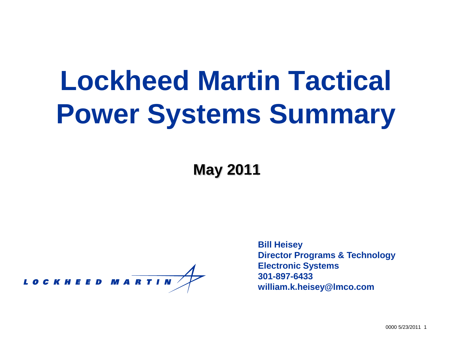# **Lockheed Martin Tactical Power Systems Summary**

**May 2011**

LOCKHEED MARTIN

**Bill Heisey Director Programs & Technology Electronic Systems 301-897-6433 william.k.heisey@lmco.com**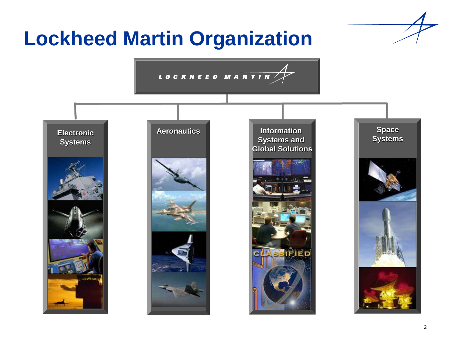### **Lockheed Martin Organization**

LOCKHEED MARTIN

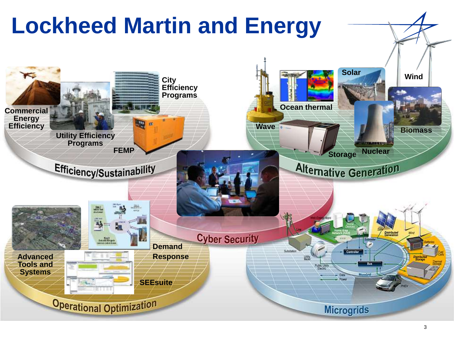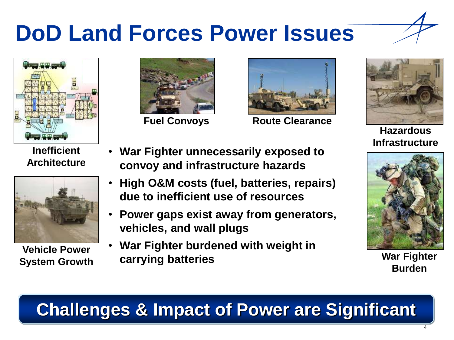## **DoD Land Forces Power Issues**





**Inefficient Architecture**



**Vehicle Power System Growth**



**Fuel Convoys**

**vehicles, and wall plugs**

**carrying batteries**



**Route Clearance**



**Hazardous Infrastructure**



**War Fighter Burden**

#### **Challenges & Impact of Power are Significant**

• **War Fighter unnecessarily exposed to** 

• **High O&M costs (fuel, batteries, repairs)** 

• **Power gaps exist away from generators,** 

**convoy and infrastructure hazards**

**due to inefficient use of resources**

• **War Fighter burdened with weight in** 

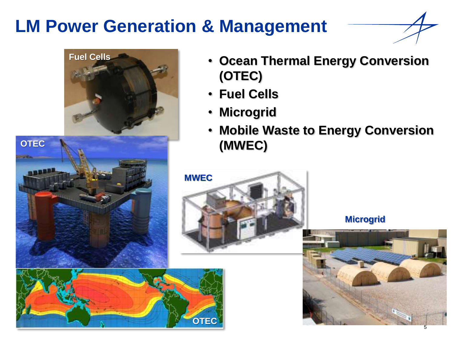#### **LM Power Generation & Management**





**OTEC**

• **Microgrid** • **Mobile Waste to Energy Conversion (MWEC)**



**(OTEC)**

• **Fuel Cells**

#### **Microgrid**

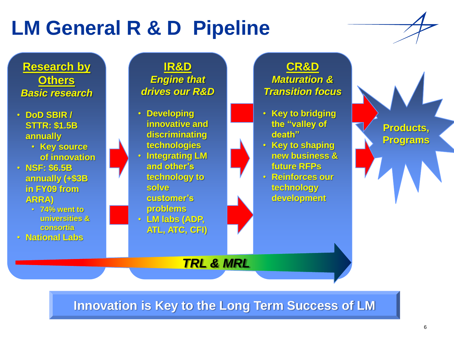### **LM General R & D Pipeline**

**IR&D**

*Engine that drives our R&D*

**Research by Others** *Basic research*



**CR&D** *Maturation & Transition focus*

**Innovation is Key to the Long Term Success of LM**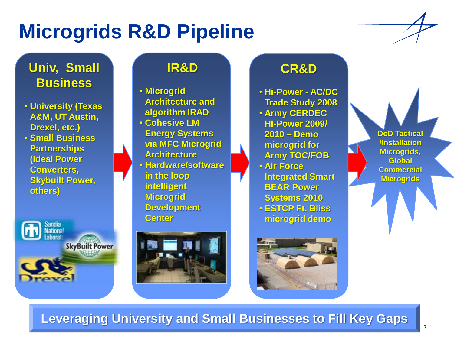### **Microgrids R&D Pipeline**

#### **Univ, Small Business**

- **University (Texas A&M, UT Austin, Drexel, etc.)**
- **Small Business Partnerships (Ideal Power Converters, Skybuilt Power, others)**

**Example 3** National **SkyBuilt Power** 

#### **IR&D**

• **Microgrid Architecture and algorithm IRAD** • **Cohesive LM Energy Systems via MFC Microgrid Architecture** • **Hardware/software in the loop intelligent Microgrid Development Center**



#### **CR&D**

• **Hi-Power - AC/DC Trade Study 2008** • **Army CERDEC HI-Power 2009/ 2010 – Demo microgrid for Army TOC/FOB** • **Air Force Integrated Smart BEAR Power Systems 2010** • **ESTCP Ft. Bliss microgrid demo**

**DoD Tactical /Installation Microgrids, Global Commercial Microgrids**



**Leveraging University and Small Businesses to Fill Key Gaps**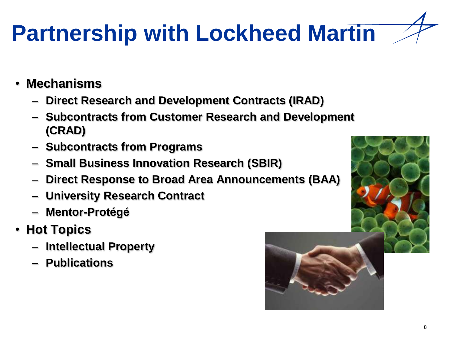# **Partnership with Lockheed Martin**

- **Mechanisms**
	- **Direct Research and Development Contracts (IRAD)**
	- **Subcontracts from Customer Research and Development (CRAD)**
	- **Subcontracts from Programs**
	- **Small Business Innovation Research (SBIR)**
	- **Direct Response to Broad Area Announcements (BAA)**
	- **University Research Contract**
	- **Mentor-Protégé**
- **Hot Topics**
	- **Intellectual Property**
	- **Publications**



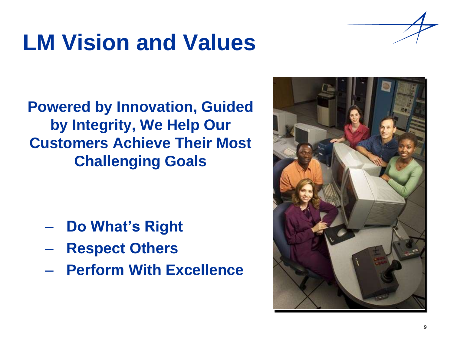## **LM Vision and Values**



**Powered by Innovation, Guided by Integrity, We Help Our Customers Achieve Their Most Challenging Goals**

- **Do What's Right**
- **Respect Others**
- **Perform With Excellence**